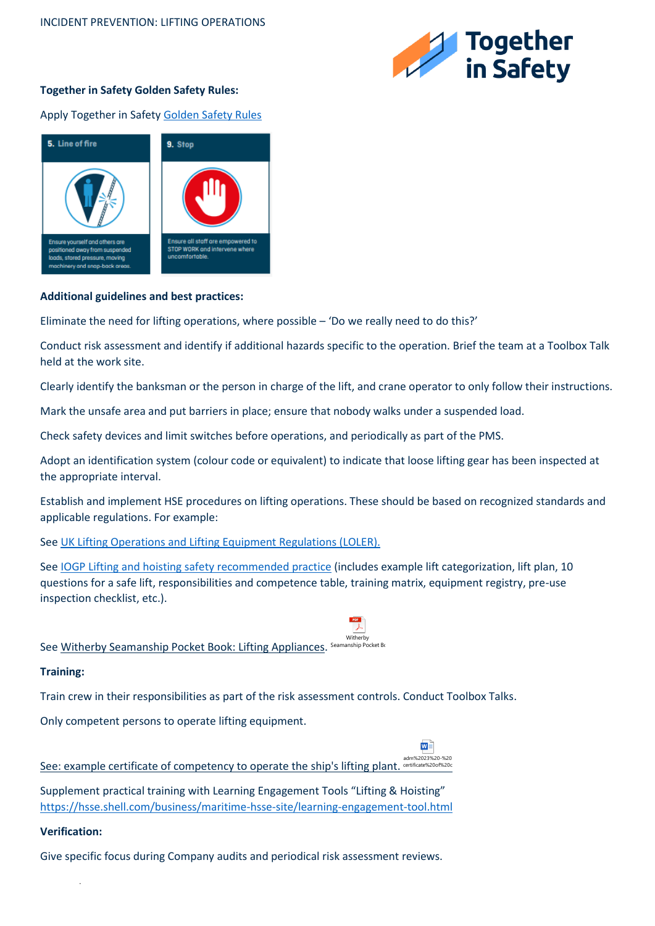

## **Together in Safety Golden Safety Rules:**

Apply Together in Safet[y Golden Safety Rules](https://togetherinsafety.info/wp-content/uploads/2020/07/Golden-Safety-Rules.pdf)



## **Additional guidelines and best practices:**

Eliminate the need for lifting operations, where possible – 'Do we really need to do this?'

Conduct risk assessment and identify if additional hazards specific to the operation. Brief the team at a Toolbox Talk held at the work site.

Clearly identify the banksman or the person in charge of the lift, and crane operator to only follow their instructions.

Mark the unsafe area and put barriers in place; ensure that nobody walks under a suspended load.

Check safety devices and limit switches before operations, and periodically as part of the PMS.

Adopt an identification system (colour code or equivalent) to indicate that loose lifting gear has been inspected at the appropriate interval.

Establish and implement HSE procedures on lifting operations. These should be based on recognized standards and applicable regulations. For example:

**Witherby** 

 $W \overset{\circ}{=}$ 

 $\lambda$ 

See [UK Lifting Operations and Lifting Equipment Regulations \(LOLER\).](https://www.hse.gov.uk/work-equipment-machinery/loler.htm)

See [IOGP Lifting and hoisting safety recommended practice](https://www.iogp.org/bookstore/product/lifting-hoisting-safety-recommended-practice/) (includes example lift categorization, lift plan, 10 questions for a safe lift, responsibilities and competence table, training matrix, equipment registry, pre-use inspection checklist, etc.).

See <u>Witherby Seamanship Pocket Book: Lifting Appliances. Seamanship Pocket Bi</u>

## **Training:**

Train crew in their responsibilities as part of the risk assessment controls. Conduct Toolbox Talks.

Only competent persons to operate lifting equipment.

See: example certificate of competency to operate the ship's lifting plant. certificate%20of%20c adm%2023%20-%20

Supplement practical training with Learning Engagement Tools "Lifting & Hoisting" <https://hsse.shell.com/business/maritime-hsse-site/learning-engagement-tool.html>

## **Verification:**

.

Give specific focus during Company audits and periodical risk assessment reviews.